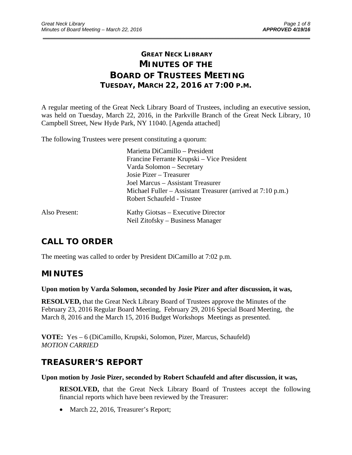# **GREAT NECK LIBRARY MINUTES OF THE BOARD OF TRUSTEES MEETING TUESDAY, MARCH 22, 2016 AT 7:00 P.M.**

\_\_\_\_\_\_\_\_\_\_\_\_\_\_\_\_\_\_\_\_\_\_\_\_\_\_\_\_\_\_\_\_\_\_\_\_\_\_\_\_\_\_\_\_\_\_\_\_\_\_\_\_\_\_\_\_\_\_\_\_\_\_\_\_\_\_\_\_\_\_\_\_\_\_\_\_\_\_\_\_\_\_\_\_\_\_\_\_\_\_\_\_\_

A regular meeting of the Great Neck Library Board of Trustees, including an executive session, was held on Tuesday, March 22, 2016, in the Parkville Branch of the Great Neck Library, 10 Campbell Street, New Hyde Park, NY 11040. [Agenda attached]

The following Trustees were present constituting a quorum:

|               | Marietta DiCamillo - President                              |
|---------------|-------------------------------------------------------------|
|               | Francine Ferrante Krupski – Vice President                  |
|               | Varda Solomon - Secretary                                   |
|               | Josie Pizer – Treasurer                                     |
|               | Joel Marcus – Assistant Treasurer                           |
|               | Michael Fuller – Assistant Treasurer (arrived at 7:10 p.m.) |
|               | Robert Schaufeld - Trustee                                  |
| Also Present: | Kathy Giotsas – Executive Director                          |
|               | Neil Zitofsky – Business Manager                            |

# **CALL TO ORDER**

The meeting was called to order by President DiCamillo at 7:02 p.m.

### **MINUTES**

**Upon motion by Varda Solomon, seconded by Josie Pizer and after discussion, it was,** 

**RESOLVED,** that the Great Neck Library Board of Trustees approve the Minutes of the February 23, 2016 Regular Board Meeting, February 29, 2016 Special Board Meeting, the March 8, 2016 and the March 15, 2016 Budget Workshops Meetings as presented.

**VOTE:** Yes – 6 (DiCamillo, Krupski, Solomon, Pizer, Marcus, Schaufeld) *MOTION CARRIED* 

## **TREASURER'S REPORT**

#### **Upon motion by Josie Pizer, seconded by Robert Schaufeld and after discussion, it was,**

**RESOLVED,** that the Great Neck Library Board of Trustees accept the following financial reports which have been reviewed by the Treasurer:

March 22, 2016, Treasurer's Report;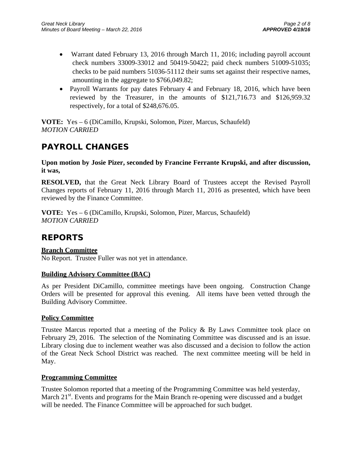- Warrant dated February 13, 2016 through March 11, 2016; including payroll account check numbers 33009-33012 and 50419-50422; paid check numbers 51009-51035; checks to be paid numbers 51036-51112 their sums set against their respective names, amounting in the aggregate to \$766,049.82;
- Payroll Warrants for pay dates February 4 and February 18, 2016, which have been reviewed by the Treasurer, in the amounts of \$121,716.73 and \$126,959.32 respectively, for a total of \$248,676.05.

**VOTE:** Yes – 6 (DiCamillo, Krupski, Solomon, Pizer, Marcus, Schaufeld) *MOTION CARRIED* 

## **PAYROLL CHANGES**

**Upon motion by Josie Pizer, seconded by Francine Ferrante Krupski, and after discussion, it was,** 

**RESOLVED,** that the Great Neck Library Board of Trustees accept the Revised Payroll Changes reports of February 11, 2016 through March 11, 2016 as presented, which have been reviewed by the Finance Committee.

**VOTE:** Yes – 6 (DiCamillo, Krupski, Solomon, Pizer, Marcus, Schaufeld) *MOTION CARRIED* 

## **REPORTS**

### **Branch Committee**

No Report. Trustee Fuller was not yet in attendance.

### **Building Advisory Committee (BAC)**

As per President DiCamillo, committee meetings have been ongoing. Construction Change Orders will be presented for approval this evening. All items have been vetted through the Building Advisory Committee.

#### **Policy Committee**

Trustee Marcus reported that a meeting of the Policy & By Laws Committee took place on February 29, 2016. The selection of the Nominating Committee was discussed and is an issue. Library closing due to inclement weather was also discussed and a decision to follow the action of the Great Neck School District was reached. The next committee meeting will be held in May.

#### **Programming Committee**

Trustee Solomon reported that a meeting of the Programming Committee was held yesterday, March 21<sup>st</sup>. Events and programs for the Main Branch re-opening were discussed and a budget will be needed. The Finance Committee will be approached for such budget.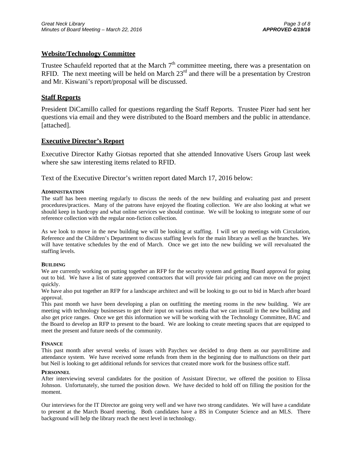#### **Website/Technology Committee**

Trustee Schaufeld reported that at the March  $7<sup>th</sup>$  committee meeting, there was a presentation on RFID. The next meeting will be held on March  $23<sup>rd</sup>$  and there will be a presentation by Crestron and Mr. Kiswani's report/proposal will be discussed.

#### **Staff Reports**

President DiCamillo called for questions regarding the Staff Reports. Trustee Pizer had sent her questions via email and they were distributed to the Board members and the public in attendance. [attached].

#### **Executive Director's Report**

Executive Director Kathy Giotsas reported that she attended Innovative Users Group last week where she saw interesting items related to RFID.

Text of the Executive Director's written report dated March 17, 2016 below:

#### **ADMINISTRATION**

The staff has been meeting regularly to discuss the needs of the new building and evaluating past and present procedures/practices. Many of the patrons have enjoyed the floating collection. We are also looking at what we should keep in hardcopy and what online services we should continue. We will be looking to integrate some of our reference collection with the regular non-fiction collection.

As we look to move in the new building we will be looking at staffing. I will set up meetings with Circulation, Reference and the Children's Department to discuss staffing levels for the main library as well as the branches. We will have tentative schedules by the end of March. Once we get into the new building we will reevaluated the staffing levels.

#### **BUILDING**

We are currently working on putting together an RFP for the security system and getting Board approval for going out to bid. We have a list of state approved contractors that will provide fair pricing and can move on the project quickly.

We have also put together an RFP for a landscape architect and will be looking to go out to bid in March after board approval.

This past month we have been developing a plan on outfitting the meeting rooms in the new building. We are meeting with technology businesses to get their input on various media that we can install in the new building and also get price ranges. Once we get this information we will be working with the Technology Committee, BAC and the Board to develop an RFP to present to the board. We are looking to create meeting spaces that are equipped to meet the present and future needs of the community.

#### **FINANCE**

This past month after several weeks of issues with Paychex we decided to drop them as our payroll/time and attendance system. We have received some refunds from them in the beginning due to malfunctions on their part but Neil is looking to get additional refunds for services that created more work for the business office staff.

#### **PERSONNEL**

After interviewing several candidates for the position of Assistant Director, we offered the position to Elissa Johnson. Unfortunately, she turned the position down. We have decided to hold off on filling the position for the moment.

Our interviews for the IT Director are going very well and we have two strong candidates. We will have a candidate to present at the March Board meeting. Both candidates have a BS in Computer Science and an MLS. There background will help the library reach the next level in technology.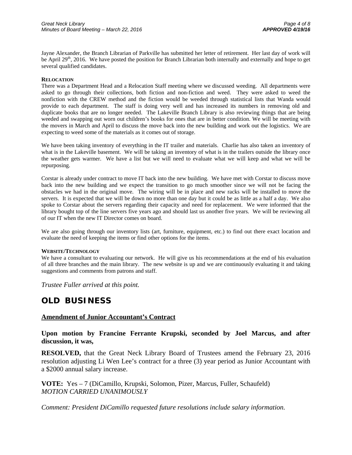Jayne Alexander, the Branch Librarian of Parkville has submitted her letter of retirement. Her last day of work will be April  $29<sup>th</sup>$ , 2016. We have posted the position for Branch Librarian both internally and externally and hope to get several qualified candidates.

#### **RELOCATION**

There was a Department Head and a Relocation Staff meeting where we discussed weeding. All departments were asked to go through their collections, both fiction and non-fiction and weed. They were asked to weed the nonfiction with the CREW method and the fiction would be weeded through statistical lists that Wanda would provide to each department. The staff is doing very well and has increased its numbers in removing old and duplicate books that are no longer needed. The Lakeville Branch Library is also reviewing things that are being weeded and swapping out worn out children's books for ones that are in better condition. We will be meeting with the movers in March and April to discuss the move back into the new building and work out the logistics. We are expecting to weed some of the materials as it comes out of storage.

We have been taking inventory of everything in the IT trailer and materials. Charlie has also taken an inventory of what is in the Lakeville basement. We will be taking an inventory of what is in the trailers outside the library once the weather gets warmer. We have a list but we will need to evaluate what we will keep and what we will be repurposing.

Corstar is already under contract to move IT back into the new building. We have met with Corstar to discuss move back into the new building and we expect the transition to go much smoother since we will not be facing the obstacles we had in the original move. The wiring will be in place and new racks will be installed to move the servers. It is expected that we will be down no more than one day but it could be as little as a half a day. We also spoke to Corstar about the servers regarding their capacity and need for replacement. We were informed that the library bought top of the line servers five years ago and should last us another five years. We will be reviewing all of our IT when the new IT Director comes on board.

We are also going through our inventory lists (art, furniture, equipment, etc.) to find out there exact location and evaluate the need of keeping the items or find other options for the items.

#### **WEBSITE/TECHNOLOGY**

We have a consultant to evaluating our network. He will give us his recommendations at the end of his evaluation of all three branches and the main library. The new website is up and we are continuously evaluating it and taking suggestions and comments from patrons and staff.

*Trustee Fuller arrived at this point.* 

## **OLD BUSINESS**

#### **Amendment of Junior Accountant's Contract**

**Upon motion by Francine Ferrante Krupski, seconded by Joel Marcus, and after discussion, it was,** 

**RESOLVED,** that the Great Neck Library Board of Trustees amend the February 23, 2016 resolution adjusting Li Wen Lee's contract for a three (3) year period as Junior Accountant with a \$2000 annual salary increase.

**VOTE:** Yes – 7 (DiCamillo, Krupski, Solomon, Pizer, Marcus, Fuller, Schaufeld) *MOTION CARRIED UNANIMOUSLY* 

*Comment: President DiCamillo requested future resolutions include salary information.*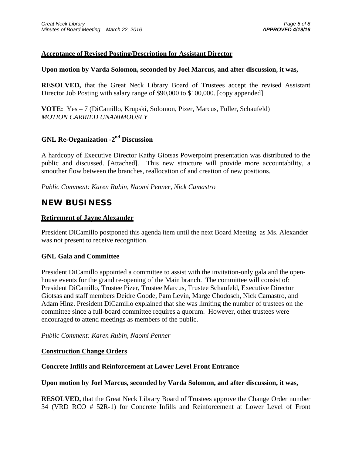### **Acceptance of Revised Posting/Description for Assistant Director**

#### **Upon motion by Varda Solomon, seconded by Joel Marcus, and after discussion, it was,**

**RESOLVED,** that the Great Neck Library Board of Trustees accept the revised Assistant Director Job Posting with salary range of \$90,000 to \$100,000. [copy appended]

**VOTE:** Yes – 7 (DiCamillo, Krupski, Solomon, Pizer, Marcus, Fuller, Schaufeld) *MOTION CARRIED UNANIMOUSLY* 

### **GNL Re-Organization -2nd Discussion**

A hardcopy of Executive Director Kathy Giotsas Powerpoint presentation was distributed to the public and discussed. [Attached]. This new structure will provide more accountability, a smoother flow between the branches, reallocation of and creation of new positions.

*Public Comment: Karen Rubin, Naomi Penner, Nick Camastro* 

## **NEW BUSINESS**

#### **Retirement of Jayne Alexander**

President DiCamillo postponed this agenda item until the next Board Meeting as Ms. Alexander was not present to receive recognition.

#### **GNL Gala and Committee**

President DiCamillo appointed a committee to assist with the invitation-only gala and the openhouse events for the grand re-opening of the Main branch. The committee will consist of: President DiCamillo, Trustee Pizer, Trustee Marcus, Trustee Schaufeld, Executive Director Giotsas and staff members Deidre Goode, Pam Levin, Marge Chodosch, Nick Camastro, and Adam Hinz. President DiCamillo explained that she was limiting the number of trustees on the committee since a full-board committee requires a quorum. However, other trustees were encouraged to attend meetings as members of the public.

#### *Public Comment: Karen Rubin, Naomi Penner*

#### **Construction Change Orders**

#### **Concrete Infills and Reinforcement at Lower Level Front Entrance**

#### **Upon motion by Joel Marcus, seconded by Varda Solomon, and after discussion, it was,**

**RESOLVED,** that the Great Neck Library Board of Trustees approve the Change Order number 34 (VRD RCO # 52R-1) for Concrete Infills and Reinforcement at Lower Level of Front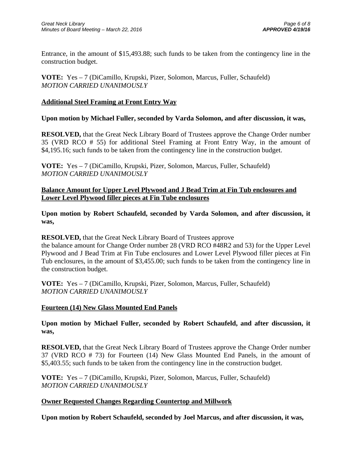Entrance, in the amount of \$15,493.88; such funds to be taken from the contingency line in the construction budget.

**VOTE:** Yes – 7 (DiCamillo, Krupski, Pizer, Solomon, Marcus, Fuller, Schaufeld) *MOTION CARRIED UNANIMOUSLY* 

### **Additional Steel Framing at Front Entry Way**

#### **Upon motion by Michael Fuller, seconded by Varda Solomon, and after discussion, it was,**

**RESOLVED,** that the Great Neck Library Board of Trustees approve the Change Order number 35 (VRD RCO # 55) for additional Steel Framing at Front Entry Way, in the amount of \$4,195.16; such funds to be taken from the contingency line in the construction budget.

**VOTE:** Yes – 7 (DiCamillo, Krupski, Pizer, Solomon, Marcus, Fuller, Schaufeld) *MOTION CARRIED UNANIMOUSLY* 

#### **Balance Amount for Upper Level Plywood and J Bead Trim at Fin Tub enclosures and Lower Level Plywood filler pieces at Fin Tube enclosures**

**Upon motion by Robert Schaufeld, seconded by Varda Solomon, and after discussion, it was,** 

#### **RESOLVED,** that the Great Neck Library Board of Trustees approve

the balance amount for Change Order number 28 (VRD RCO #48R2 and 53) for the Upper Level Plywood and J Bead Trim at Fin Tube enclosures and Lower Level Plywood filler pieces at Fin Tub enclosures, in the amount of \$3,455.00; such funds to be taken from the contingency line in the construction budget.

**VOTE:** Yes – 7 (DiCamillo, Krupski, Pizer, Solomon, Marcus, Fuller, Schaufeld) *MOTION CARRIED UNANIMOUSLY* 

#### **Fourteen (14) New Glass Mounted End Panels**

**Upon motion by Michael Fuller, seconded by Robert Schaufeld, and after discussion, it was,** 

**RESOLVED,** that the Great Neck Library Board of Trustees approve the Change Order number 37 (VRD RCO # 73) for Fourteen (14) New Glass Mounted End Panels, in the amount of \$5,403.55; such funds to be taken from the contingency line in the construction budget.

**VOTE:** Yes – 7 (DiCamillo, Krupski, Pizer, Solomon, Marcus, Fuller, Schaufeld) *MOTION CARRIED UNANIMOUSLY* 

#### **Owner Requested Changes Regarding Countertop and Millwork**

**Upon motion by Robert Schaufeld, seconded by Joel Marcus, and after discussion, it was,**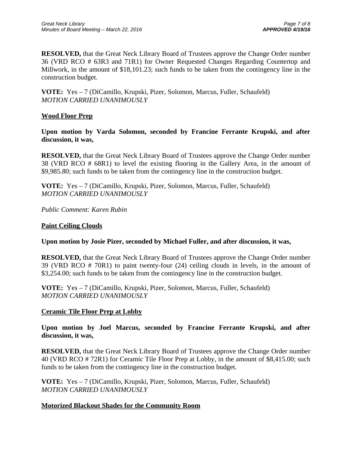**RESOLVED,** that the Great Neck Library Board of Trustees approve the Change Order number 36 (VRD RCO # 63R3 and 71R1) for Owner Requested Changes Regarding Countertop and Millwork, in the amount of \$18,101.23; such funds to be taken from the contingency line in the construction budget.

**VOTE:** Yes – 7 (DiCamillo, Krupski, Pizer, Solomon, Marcus, Fuller, Schaufeld) *MOTION CARRIED UNANIMOUSLY* 

### **Wood Floor Prep**

**Upon motion by Varda Solomon, seconded by Francine Ferrante Krupski, and after discussion, it was,** 

**RESOLVED,** that the Great Neck Library Board of Trustees approve the Change Order number 38 (VRD RCO # 68R1) to level the existing flooring in the Gallery Area, in the amount of \$9,985.80; such funds to be taken from the contingency line in the construction budget.

**VOTE:** Yes – 7 (DiCamillo, Krupski, Pizer, Solomon, Marcus, Fuller, Schaufeld) *MOTION CARRIED UNANIMOUSLY* 

*Public Comment: Karen Rubin* 

#### **Paint Ceiling Clouds**

#### **Upon motion by Josie Pizer, seconded by Michael Fuller, and after discussion, it was,**

**RESOLVED,** that the Great Neck Library Board of Trustees approve the Change Order number 39 (VRD RCO # 70R1) to paint twenty-four (24) ceiling clouds in levels, in the amount of \$3,254.00; such funds to be taken from the contingency line in the construction budget.

**VOTE:** Yes – 7 (DiCamillo, Krupski, Pizer, Solomon, Marcus, Fuller, Schaufeld) *MOTION CARRIED UNANIMOUSLY* 

#### **Ceramic Tile Floor Prep at Lobby**

**Upon motion by Joel Marcus, seconded by Francine Ferrante Krupski, and after discussion, it was,** 

**RESOLVED,** that the Great Neck Library Board of Trustees approve the Change Order number 40 (VRD RCO # 72R1) for Ceramic Tile Floor Prep at Lobby, in the amount of \$8,415.00; such funds to be taken from the contingency line in the construction budget.

**VOTE:** Yes – 7 (DiCamillo, Krupski, Pizer, Solomon, Marcus, Fuller, Schaufeld) *MOTION CARRIED UNANIMOUSLY* 

#### **Motorized Blackout Shades for the Community Room**